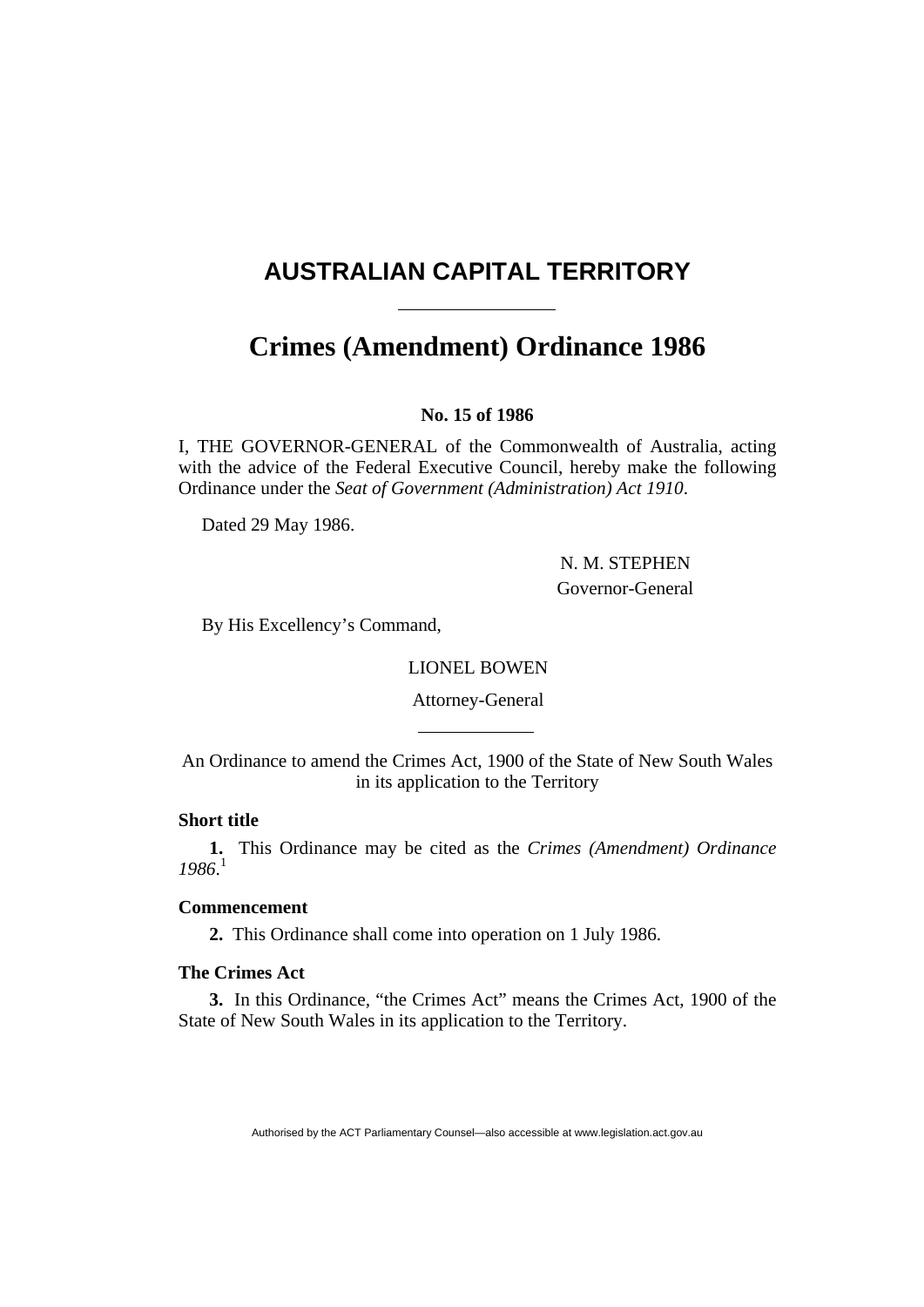# <span id="page-0-0"></span>**AUSTRALIAN CAPITAL TERRITORY**

# **Crimes (Amendment) Ordinance [1986](#page-0-0)**

## **No. 15 of 1986**

I, THE GOVERNOR-GENERAL of the Commonwealth of Australia, acting with the advice of the Federal Executive Council, hereby make the following Ordinance under the *Seat of Government (Administration) Act 1910*.

Dated 29 May 1986.

 N. M. STEPHEN Governor-General

By His Excellency's Command,

LIONEL BOWEN

Attorney-General

An Ordinance to amend the Crimes Act, 1900 of the State of New South Wales in its application to the Territory

## **Short title**

**1.** This Ordinance may be cited as the *Crimes (Amendment) Ordinance 1986*. 1

## **Commencement**

**2.** This Ordinance shall come into operation on 1 July 1986.

## **The Crimes Act**

**3.** In this Ordinance, "the Crimes Act" means the Crimes Act, 1900 of the State of New South Wales in its application to the Territory.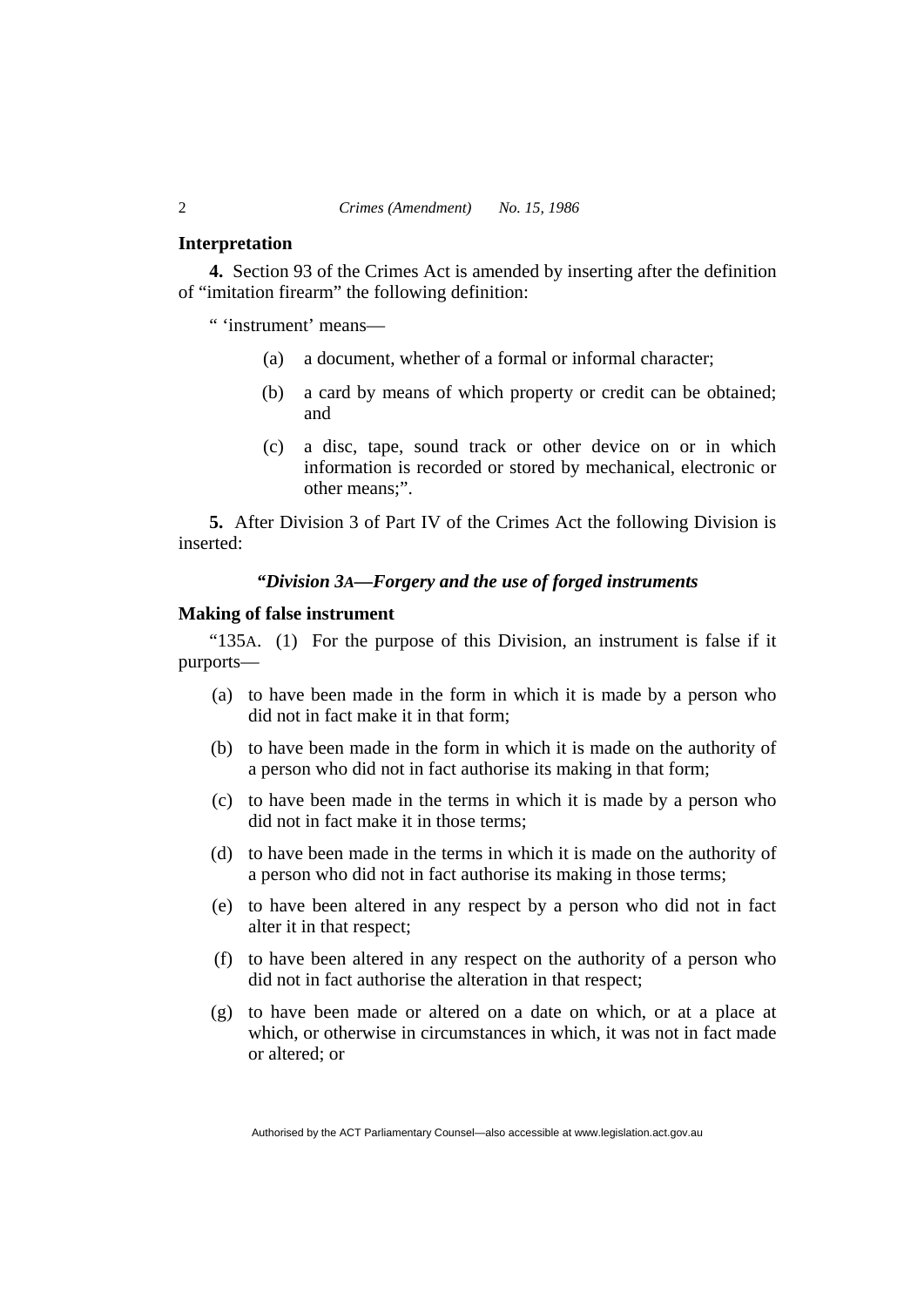#### **Interpretation**

**4.** Section 93 of the Crimes Act is amended by inserting after the definition of "imitation firearm" the following definition:

" 'instrument' means—

- (a) a document, whether of a formal or informal character;
- (b) a card by means of which property or credit can be obtained; and
- (c) a disc, tape, sound track or other device on or in which information is recorded or stored by mechanical, electronic or other means;".

**5.** After Division 3 of Part IV of the Crimes Act the following Division is inserted:

#### *"Division 3A—Forgery and the use of forged instruments*

#### **Making of false instrument**

"135A. (1) For the purpose of this Division, an instrument is false if it purports—

- (a) to have been made in the form in which it is made by a person who did not in fact make it in that form;
- (b) to have been made in the form in which it is made on the authority of a person who did not in fact authorise its making in that form;
- (c) to have been made in the terms in which it is made by a person who did not in fact make it in those terms;
- (d) to have been made in the terms in which it is made on the authority of a person who did not in fact authorise its making in those terms;
- (e) to have been altered in any respect by a person who did not in fact alter it in that respect;
- (f) to have been altered in any respect on the authority of a person who did not in fact authorise the alteration in that respect;
- (g) to have been made or altered on a date on which, or at a place at which, or otherwise in circumstances in which, it was not in fact made or altered; or

Authorised by the ACT Parliamentary Counsel—also accessible at www.legislation.act.gov.au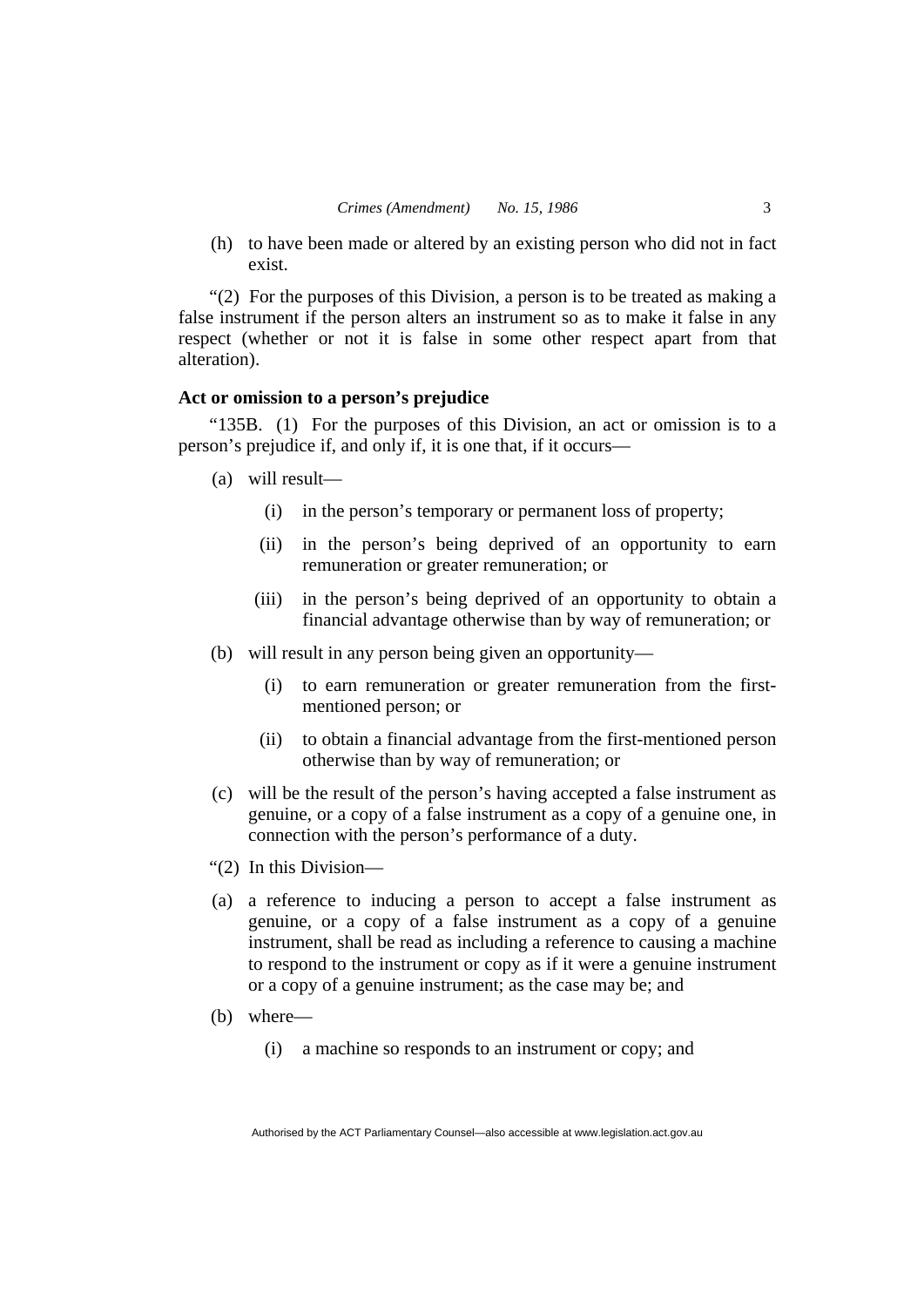(h) to have been made or altered by an existing person who did not in fact exist.

"(2) For the purposes of this Division, a person is to be treated as making a false instrument if the person alters an instrument so as to make it false in any respect (whether or not it is false in some other respect apart from that alteration).

## **Act or omission to a person's prejudice**

"135B. (1) For the purposes of this Division, an act or omission is to a person's prejudice if, and only if, it is one that, if it occurs—

- (a) will result—
	- (i) in the person's temporary or permanent loss of property;
	- (ii) in the person's being deprived of an opportunity to earn remuneration or greater remuneration; or
	- (iii) in the person's being deprived of an opportunity to obtain a financial advantage otherwise than by way of remuneration; or
- (b) will result in any person being given an opportunity—
	- (i) to earn remuneration or greater remuneration from the firstmentioned person; or
	- (ii) to obtain a financial advantage from the first-mentioned person otherwise than by way of remuneration; or
- (c) will be the result of the person's having accepted a false instrument as genuine, or a copy of a false instrument as a copy of a genuine one, in connection with the person's performance of a duty.
- "(2) In this Division—
- (a) a reference to inducing a person to accept a false instrument as genuine, or a copy of a false instrument as a copy of a genuine instrument, shall be read as including a reference to causing a machine to respond to the instrument or copy as if it were a genuine instrument or a copy of a genuine instrument; as the case may be; and
- (b) where—
	- (i) a machine so responds to an instrument or copy; and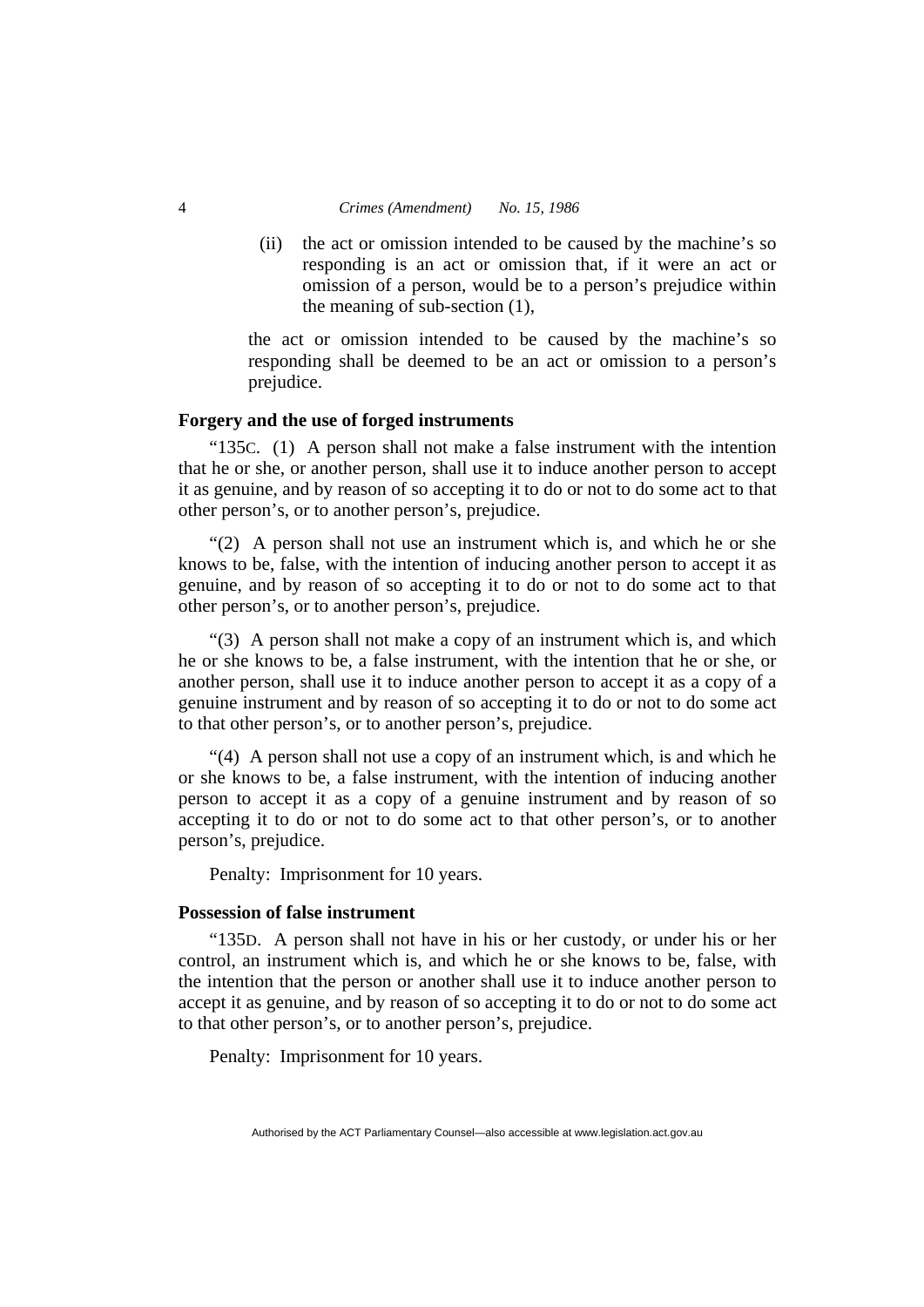#### 4 *Crimes (Amendment) No. 15, 1986*

 (ii) the act or omission intended to be caused by the machine's so responding is an act or omission that, if it were an act or omission of a person, would be to a person's prejudice within the meaning of sub-section (1),

the act or omission intended to be caused by the machine's so responding shall be deemed to be an act or omission to a person's prejudice.

#### **Forgery and the use of forged instruments**

"135C. (1) A person shall not make a false instrument with the intention that he or she, or another person, shall use it to induce another person to accept it as genuine, and by reason of so accepting it to do or not to do some act to that other person's, or to another person's, prejudice.

"(2) A person shall not use an instrument which is, and which he or she knows to be, false, with the intention of inducing another person to accept it as genuine, and by reason of so accepting it to do or not to do some act to that other person's, or to another person's, prejudice.

"(3) A person shall not make a copy of an instrument which is, and which he or she knows to be, a false instrument, with the intention that he or she, or another person, shall use it to induce another person to accept it as a copy of a genuine instrument and by reason of so accepting it to do or not to do some act to that other person's, or to another person's, prejudice.

"(4) A person shall not use a copy of an instrument which, is and which he or she knows to be, a false instrument, with the intention of inducing another person to accept it as a copy of a genuine instrument and by reason of so accepting it to do or not to do some act to that other person's, or to another person's, prejudice.

Penalty: Imprisonment for 10 years.

## **Possession of false instrument**

"135D. A person shall not have in his or her custody, or under his or her control, an instrument which is, and which he or she knows to be, false, with the intention that the person or another shall use it to induce another person to accept it as genuine, and by reason of so accepting it to do or not to do some act to that other person's, or to another person's, prejudice.

Penalty: Imprisonment for 10 years.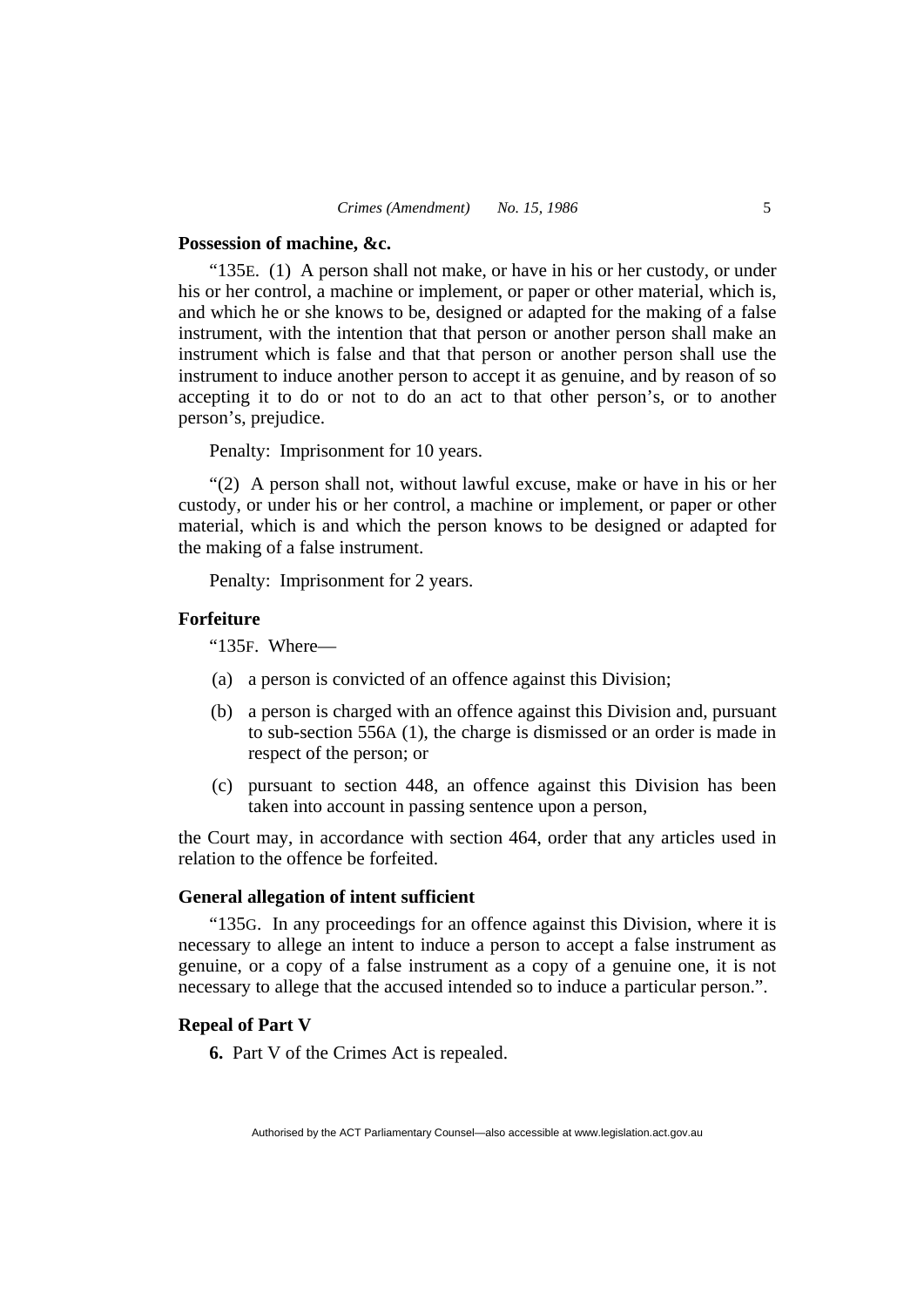#### **Possession of machine, &c.**

"135E. (1) A person shall not make, or have in his or her custody, or under his or her control, a machine or implement, or paper or other material, which is, and which he or she knows to be, designed or adapted for the making of a false instrument, with the intention that that person or another person shall make an instrument which is false and that that person or another person shall use the instrument to induce another person to accept it as genuine, and by reason of so accepting it to do or not to do an act to that other person's, or to another person's, prejudice.

Penalty: Imprisonment for 10 years.

"(2) A person shall not, without lawful excuse, make or have in his or her custody, or under his or her control, a machine or implement, or paper or other material, which is and which the person knows to be designed or adapted for the making of a false instrument.

Penalty: Imprisonment for 2 years.

#### **Forfeiture**

"135F. Where—

- (a) a person is convicted of an offence against this Division;
- (b) a person is charged with an offence against this Division and, pursuant to sub-section 556A (1), the charge is dismissed or an order is made in respect of the person; or
- (c) pursuant to section 448, an offence against this Division has been taken into account in passing sentence upon a person,

the Court may, in accordance with section 464, order that any articles used in relation to the offence be forfeited.

#### **General allegation of intent sufficient**

"135G. In any proceedings for an offence against this Division, where it is necessary to allege an intent to induce a person to accept a false instrument as genuine, or a copy of a false instrument as a copy of a genuine one, it is not necessary to allege that the accused intended so to induce a particular person.".

#### **Repeal of Part V**

**6.** Part V of the Crimes Act is repealed.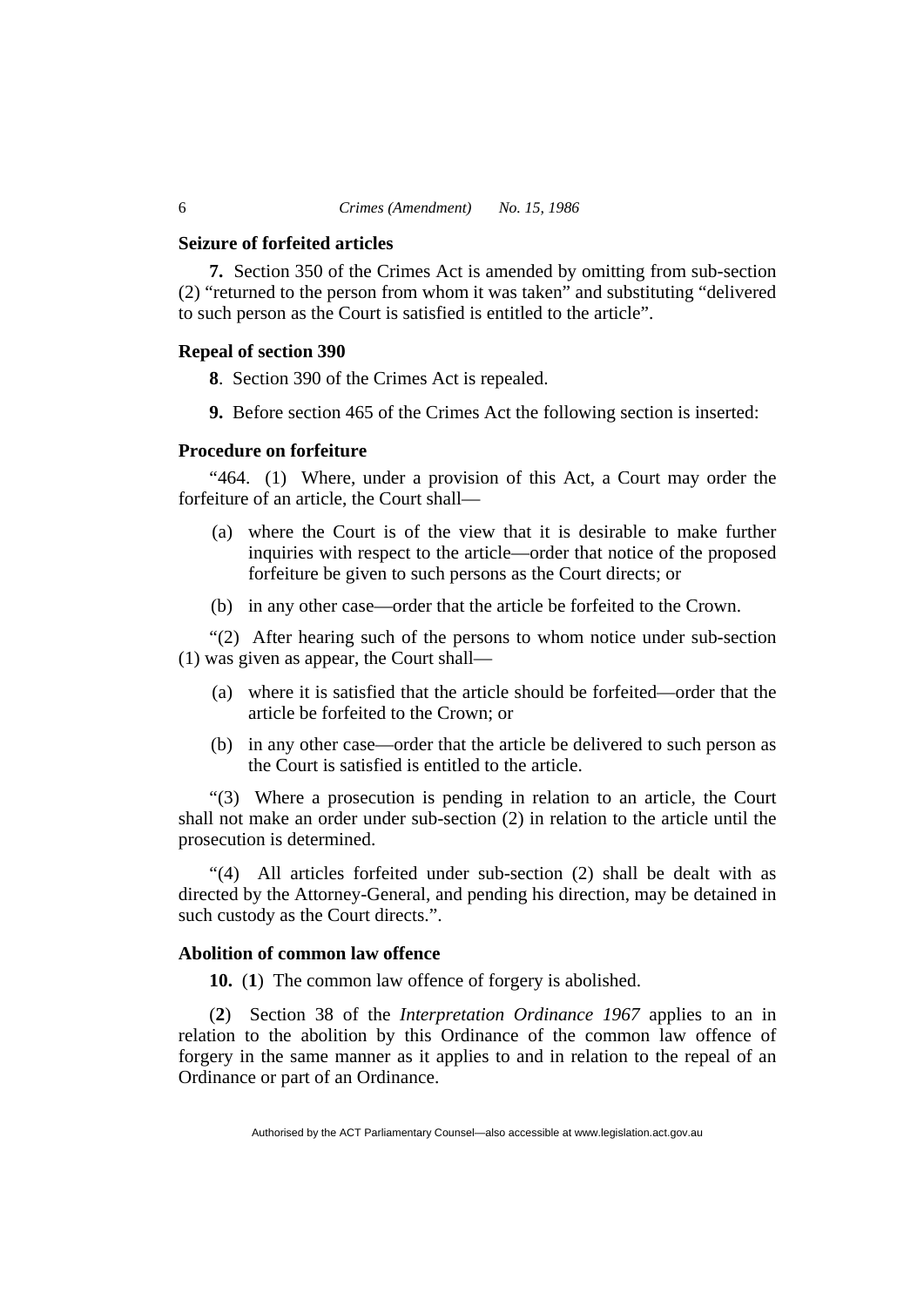#### **Seizure of forfeited articles**

**7.** Section 350 of the Crimes Act is amended by omitting from sub-section (2) "returned to the person from whom it was taken" and substituting "delivered to such person as the Court is satisfied is entitled to the article".

#### **Repeal of section 390**

**8**. Section 390 of the Crimes Act is repealed.

**9.** Before section 465 of the Crimes Act the following section is inserted:

#### **Procedure on forfeiture**

"464. (1) Where, under a provision of this Act, a Court may order the forfeiture of an article, the Court shall—

- (a) where the Court is of the view that it is desirable to make further inquiries with respect to the article—order that notice of the proposed forfeiture be given to such persons as the Court directs; or
- (b) in any other case—order that the article be forfeited to the Crown.

"(2) After hearing such of the persons to whom notice under sub-section (1) was given as appear, the Court shall—

- (a) where it is satisfied that the article should be forfeited—order that the article be forfeited to the Crown; or
- (b) in any other case—order that the article be delivered to such person as the Court is satisfied is entitled to the article.

"(3) Where a prosecution is pending in relation to an article, the Court shall not make an order under sub-section (2) in relation to the article until the prosecution is determined.

"(4) All articles forfeited under sub-section (2) shall be dealt with as directed by the Attorney-General, and pending his direction, may be detained in such custody as the Court directs.".

## **Abolition of common law offence**

**10.** (**1**) The common law offence of forgery is abolished.

(**2**) Section 38 of the *Interpretation Ordinance 1967* applies to an in relation to the abolition by this Ordinance of the common law offence of forgery in the same manner as it applies to and in relation to the repeal of an Ordinance or part of an Ordinance.

Authorised by the ACT Parliamentary Counsel—also accessible at www.legislation.act.gov.au